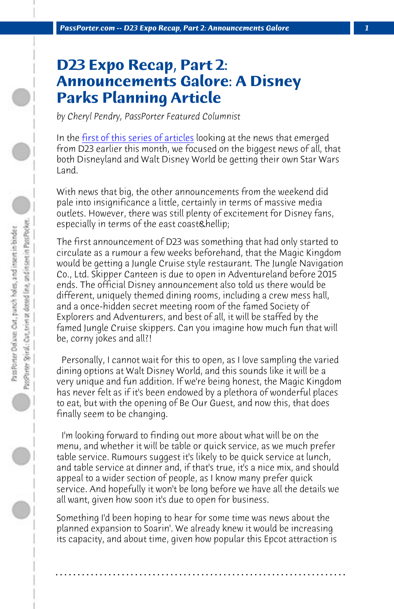PassPorter.com -- D23 Expo Recap, Part 2: Announcements Galore

## **D23 Expo Recap, Part 2: Announcements Galore: A Disney Parks Planning Article**

*by Cheryl Pendry, PassPorter Featured Columnist*

In the first of this series of articles looking at the news that emerged from D23 earlier this month, we focused on the biggest news of all, that both Disneyland and Walt Disney World be getting their own Star Wars Land.

With news that big, the other announcements from the weekend did pale into insignificance a little, certainly in terms of massive media outlets. However, there was still plenty of excitement for Disney fans, especially in terms of the east coast…

The first announcement of D23 was something that had only started to circulate as a rumour a few weeks beforehand, that the Magic Kingdom would be getting a Jungle Cruise style restaurant. The Jungle Navigation Co., Ltd. Skipper Canteen is due to open in Adventureland before 2015 ends. The official Disney announcement also told us there would be different, uniquely themed dining rooms, including a crew mess hall, and a once-hidden secret meeting room of the famed Society of Explorers and Adventurers, and best of all, it will be staffed by the famed Jungle Cruise skippers. Can you imagine how much fun that will be, corny jokes and all?!

 Personally, I cannot wait for this to open, as I love sampling the varied dining options at Walt Disney World, and this sounds like it will be a very unique and fun addition. If we're being honest, the Magic Kingdom has never felt as if it's been endowed by a plethora of wonderful places to eat, but with the opening of Be Our Guest, and now this, that does finally seem to be changing.

 I'm looking forward to finding out more about what will be on the menu, and whether it will be table or quick service, as we much prefer table service. Rumours suggest it's likely to be quick service at lunch, and table service at dinner and, if that's true, it's a nice mix, and should appeal to a wider section of people, as I know many prefer quick service. And hopefully it won't be long before we have all the details we all want, given how soon it's due to open for business.

Something I'd been hoping to hear for some time was news about the planned expansion to Soarin'. We already knew it would be increasing its capacity, and about time, given how popular this Epcot attraction is

**. . . . . . . . . . . . . . . . . . . . . . . . . . . . . . . . . . . . . . . . . . . . . . . . . . . . . . . . . . . . . . . . . .**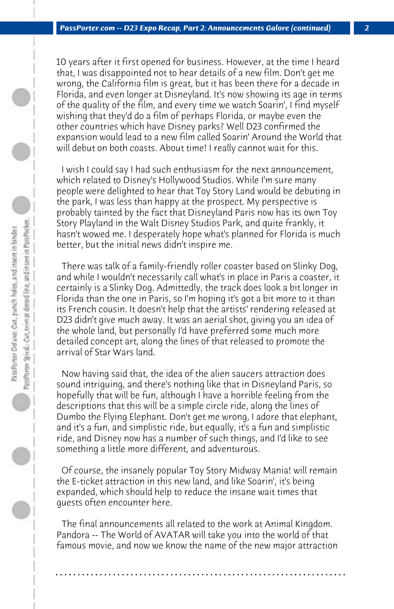10 years after it first opened for business. However, at the time I heard that, I was disappointed not to hear details of a new film. Don't get me wrong, the California film is great, but it has been there for a decade in Florida, and even longer at Disneyland. It's now showing its age in terms of the quality of the film, and every time we watch Soarin', I find myself wishing that they'd do a film of perhaps Florida, or maybe even the other countries which have Disney parks? Well D23 confirmed the expansion would lead to a new film called Soarin' Around the World that will debut on both coasts. About time! I really cannot wait for this.

 I wish I could say I had such enthusiasm for the next announcement, which related to Disney's Hollywood Studios. While I'm sure many people were delighted to hear that Toy Story Land would be debuting in the park, I was less than happy at the prospect. My perspective is probably tainted by the fact that Disneyland Paris now has its own Toy Story Playland in the Walt Disney Studios Park, and quite frankly, it hasn't wowed me. I desperately hope what's planned for Florida is much better, but the initial news didn't inspire me.

 There was talk of a family-friendly roller coaster based on Slinky Dog, and while I wouldn't necessarily call what's in place in Paris a coaster, it certainly is a Slinky Dog. Admittedly, the track does look a bit longer in Florida than the one in Paris, so I'm hoping it's got a bit more to it than its French cousin. It doesn't help that the artists' rendering released at D23 didn't give much away. It was an aerial shot, giving you an idea of the whole land, but personally I'd have preferred some much more detailed concept art, along the lines of that released to promote the arrival of Star Wars land.

 Now having said that, the idea of the alien saucers attraction does sound intriguing, and there's nothing like that in Disneyland Paris, so hopefully that will be fun, although I have a horrible feeling from the descriptions that this will be a simple circle ride, along the lines of Dumbo the Flying Elephant. Don't get me wrong, I adore that elephant, and it's a fun, and simplistic ride, but equally, it's a fun and simplistic ride, and Disney now has a number of such things, and I'd like to see something a little more different, and adventurous.

 Of course, the insanely popular Toy Story Midway Mania! will remain the E-ticket attraction in this new land, and like Soarin', it's being expanded, which should help to reduce the insane wait times that guests often encounter here.

 The final announcements all related to the work at Animal Kingdom. Pandora -- The World of AVATAR will take you into the world of that famous movie, and now we know the name of the new major attraction

**. . . . . . . . . . . . . . . . . . . . . . . . . . . . . . . . . . . . . . . . . . . . . . . . . . . . . . . . . . . . . . . . . .**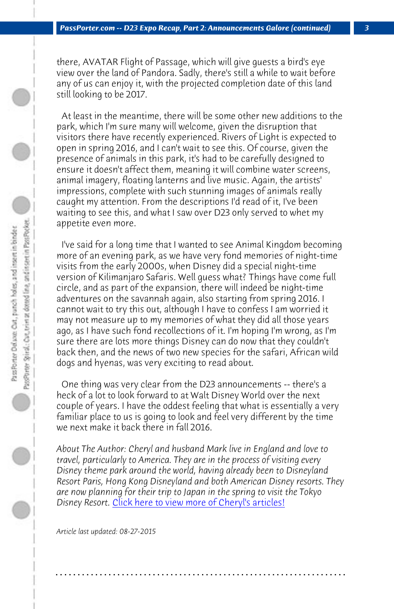*PassPorter.com -- D23 Expo Recap, Part 2: Announcements Galore (continued) 3*

there, AVATAR Flight of Passage, which will give guests a bird's eye view over the land of Pandora. Sadly, there's still a while to wait before any of us can enjoy it, with the projected completion date of this land still looking to be 2017.

 At least in the meantime, there will be some other new additions to the park, which I'm sure many will welcome, given the disruption that visitors there have recently experienced. Rivers of Light is expected to open in spring 2016, and I can't wait to see this. Of course, given the presence of animals in this park, it's had to be carefully designed to ensure it doesn't affect them, meaning it will combine water screens, animal imagery, floating lanterns and live music. Again, the artists' impressions, complete with such stunning images of animals really caught my attention. From the descriptions I'd read of it, I've been waiting to see this, and what I saw over D23 only served to whet my appetite even more.

 I've said for a long time that I wanted to see Animal Kingdom becoming more of an evening park, as we have very fond memories of night-time visits from the early 2000s, when Disney did a special night-time version of Kilimanjaro Safaris. Well guess what? Things have come full circle, and as part of the expansion, there will indeed be night-time adventures on the savannah again, also starting from spring 2016. I cannot wait to try this out, although I have to confess I am worried it may not meas[ure up to my memories of what they did all t](http://www.passporter.com/articles/cheryl-pendry-featured-columnist.asp)hose years ago, as I have such fond recollections of it. I'm hoping I'm wrong, as I'm sure there are lots more things Disney can do now that they couldn't back then, and the news of two new species for the safari, African wild dogs and hyenas, was very exciting to read about.

 One thing was very clear from the D23 announcements -- there's a heck of a lot to look forward to at Walt Disney World over the next couple of years. I have the oddest feeling that what is essentially a very familiar place to us is going to look and feel very different by the time we next make it back there in fall 2016.

*About The Author: Cheryl and husband Mark live in England and love to travel, particularly to America. They are in the process of visiting every Disney theme park around the world, having already been to Disneyland Resort Paris, Hong Kong Disneyland and both American Disney resorts. They are now planning for their trip to Japan in the spring to visit the Tokyo* Disney Resort. *Click here to view more of Cheryl's articles!* 

**. . . . . . . . . . . . . . . . . . . . . . . . . . . . . . . . . . . . . . . . . . . . . . . . . . . . . . . . . . . . . . . . . .**

*Article last updated: 08-27-2015*